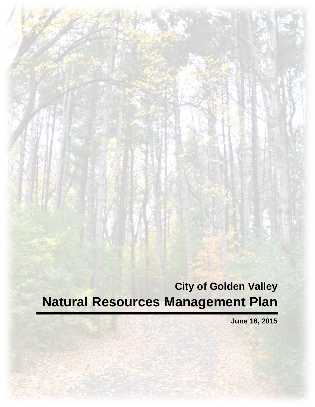**City of Golden Valley Natural Resources Management Plan**

**June 16, 2015**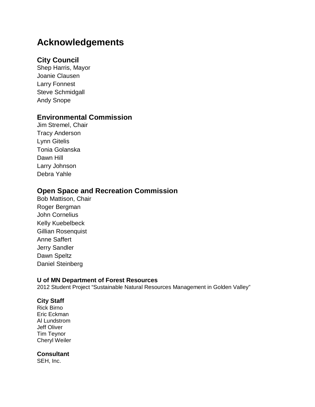# **Acknowledgements**

### **City Council**

Shep Harris, Mayor Joanie Clausen Larry Fonnest Steve Schmidgall Andy Snope

### **Environmental Commission**

Jim Stremel, Chair Tracy Anderson Lynn Gitelis Tonia Golanska Dawn Hill Larry Johnson Debra Yahle

## **Open Space and Recreation Commission**

Bob Mattison, Chair Roger Bergman John Cornelius Kelly Kuebelbeck Gillian Rosenquist Anne Saffert Jerry Sandler Dawn Speltz Daniel Steinberg

#### **U of MN Department of Forest Resources**

2012 Student Project "Sustainable Natural Resources Management in Golden Valley"

#### **City Staff**

Rick Birno Eric Eckman Al Lundstrom Jeff Oliver Tim Teynor Cheryl Weiler

#### **Consultant**

SEH, Inc.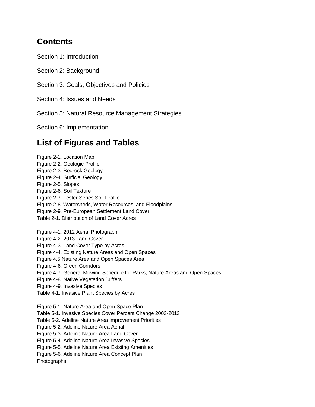## **Contents**

Section 1: Introduction

Section 2: Background

Section 3: Goals, Objectives and Policies

Section 4: Issues and Needs

Section 5: Natural Resource Management Strategies

Section 6: Implementation

## **List of Figures and Tables**

Figure 2-1. Location Map Figure 2-2. Geologic Profile Figure 2-3. Bedrock Geology Figure 2-4. Surficial Geology Figure 2-5. Slopes Figure 2-6. Soil Texture Figure 2-7. Lester Series Soil Profile Figure 2-8. Watersheds, Water Resources, and Floodplains Figure 2-9. Pre-European Settlement Land Cover Table 2-1. Distribution of Land Cover Acres Figure 4-1. 2012 Aerial Photograph Figure 4-2. 2013 Land Cover Figure 4-3. Land Cover Type by Acres Figure 4-4. Existing Nature Areas and Open Spaces Figure 4.5 Nature Area and Open Spaces Area Figure 4-6. Green Corridors Figure 4-7. General Mowing Schedule for Parks, Nature Areas and Open Spaces Figure 4-8. Native Vegetation Buffers Figure 4-9. Invasive Species Table 4-1. Invasive Plant Species by Acres Figure 5-1. Nature Area and Open Space Plan Table 5-1. Invasive Species Cover Percent Change 2003-2013 Table 5-2. Adeline Nature Area Improvement Priorities Figure 5-2. Adeline Nature Area Aerial Figure 5-3. Adeline Nature Area Land Cover Figure 5-4. Adeline Nature Area Invasive Species Figure 5-5. Adeline Nature Area Existing Amenities Figure 5-6. Adeline Nature Area Concept Plan Photographs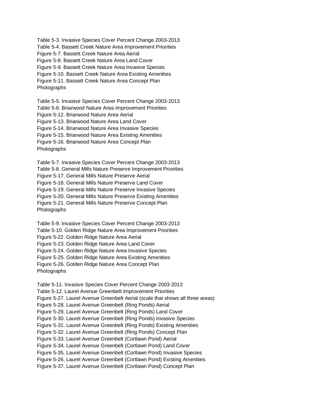Table 5-3. Invasive Species Cover Percent Change 2003-2013 Table 5-4. Bassett Creek Nature Area Improvement Priorities Figure 5-7. Bassett Creek Nature Area Aerial Figure 5-8. Bassett Creek Nature Area Land Cover Figure 5-9. Bassett Creek Nature Area Invasive Species Figure 5-10. Bassett Creek Nature Area Existing Amenities Figure 5-11. Bassett Creek Nature Area Concept Plan Photographs

Table 5-5. Invasive Species Cover Percent Change 2003-2013 Table 5-6. Briarwood Nature Area Improvement Priorities Figure 5-12. Briarwood Nature Area Aerial Figure 5-13. Briarwood Nature Area Land Cover Figure 5-14. Briarwood Nature Area Invasive Species Figure 5-15. Briarwood Nature Area Existing Amenities Figure 5-16. Briarwood Nature Area Concept Plan Photographs

Table 5-7. Invasive Species Cover Percent Change 2003-2013 Table 5-8. General Mills Nature Preserve Improvement Priorities Figure 5-17. General Mills Nature Preserve Aerial Figure 5-18. General Mills Nature Preserve Land Cover Figure 5-19. General Mills Nature Preserve Invasive Species Figure 5-20. General Mills Nature Preserve Existing Amenities Figure 5-21. General Mills Nature Preserve Concept Plan Photographs

Table 5-9. Invasive Species Cover Percent Change 2003-2013 Table 5-10. Golden Ridge Nature Area Improvement Priorities Figure 5-22. Golden Ridge Nature Area Aerial Figure 5-23. Golden Ridge Nature Area Land Cover Figure 5-24. Golden Ridge Nature Area Invasive Species Figure 5-25. Golden Ridge Nature Area Existing Amenities Figure 5-26. Golden Ridge Nature Area Concept Plan Photographs

Table 5-11. Invasive Species Cover Percent Change 2003-2013 Table 5-12. Laurel Avenue Greenbelt Improvement Priorities Figure 5-27. Laurel Avenue Greenbelt Aerial (scale that shows all three areas) Figure 5-28. Laurel Avenue Greenbelt (Ring Ponds) Aerial Figure 5-29. Laurel Avenue Greenbelt (Ring Ponds) Land Cover Figure 5-30. Laurel Avenue Greenbelt (Ring Ponds) Invasive Species Figure 5-31. Laurel Avenue Greenbelt (Ring Ponds) Existing Amenities Figure 5-32. Laurel Avenue Greenbelt (Ring Ponds) Concept Plan Figure 5-33. Laurel Avenue Greenbelt (Cortlawn Pond) Aerial Figure 5-34. Laurel Avenue Greenbelt (Cortlawn Pond) Land Cover Figure 5-35. Laurel Avenue Greenbelt (Cortlawn Pond) Invasive Species Figure 5-26. Laurel Avenue Greenbelt (Cortlawn Pond) Existing Amenities Figure 5-37. Laurel Avenue Greenbelt (Cortlawn Pond) Concept Plan